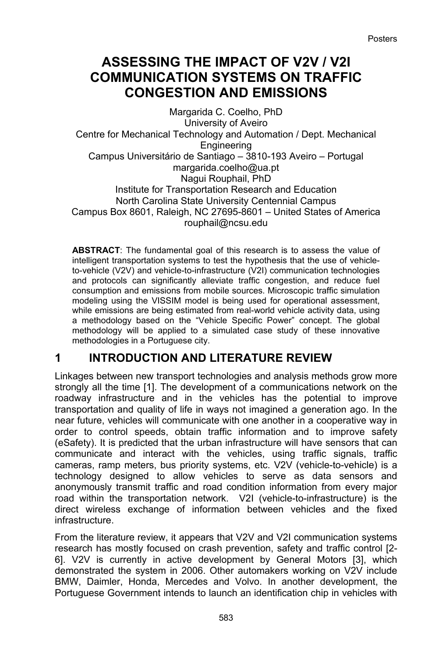# **ASSESSING THE IMPACT OF V2V / V2I COMMUNICATION SYSTEMS ON TRAFFIC CONGESTION AND EMISSIONS**

Margarida C. Coelho, PhD University of Aveiro Centre for Mechanical Technology and Automation / Dept. Mechanical Engineering Campus Universitário de Santiago – 3810-193 Aveiro – Portugal margarida.coelho@ua.pt Nagui Rouphail, PhD Institute for Transportation Research and Education North Carolina State University Centennial Campus Campus Box 8601, Raleigh, NC 27695-8601 – United States of America rouphail@ncsu.edu

**ABSTRACT**: The fundamental goal of this research is to assess the value of intelligent transportation systems to test the hypothesis that the use of vehicleto-vehicle (V2V) and vehicle-to-infrastructure (V2I) communication technologies and protocols can significantly alleviate traffic congestion, and reduce fuel consumption and emissions from mobile sources. Microscopic traffic simulation modeling using the VISSIM model is being used for operational assessment, while emissions are being estimated from real-world vehicle activity data, using a methodology based on the "Vehicle Specific Power" concept. The global methodology will be applied to a simulated case study of these innovative methodologies in a Portuguese city.

## **1 INTRODUCTION AND LITERATURE REVIEW**

Linkages between new transport technologies and analysis methods grow more strongly all the time [1]. The development of a communications network on the roadway infrastructure and in the vehicles has the potential to improve transportation and quality of life in ways not imagined a generation ago. In the near future, vehicles will communicate with one another in a cooperative way in order to control speeds, obtain traffic information and to improve safety (eSafety). It is predicted that the urban infrastructure will have sensors that can communicate and interact with the vehicles, using traffic signals, traffic cameras, ramp meters, bus priority systems, etc. V2V (vehicle-to-vehicle) is a technology designed to allow vehicles to serve as data sensors and anonymously transmit traffic and road condition information from every major road within the transportation network. V2I (vehicle-to-infrastructure) is the direct wireless exchange of information between vehicles and the fixed infrastructure.

From the literature review, it appears that V2V and V2I communication systems research has mostly focused on crash prevention, safety and traffic control [2- 6]. V2V is currently in active development by General Motors [3], which demonstrated the system in 2006. Other automakers working on V2V include BMW, Daimler, Honda, Mercedes and Volvo. In another development, the Portuguese Government intends to launch an identification chip in vehicles with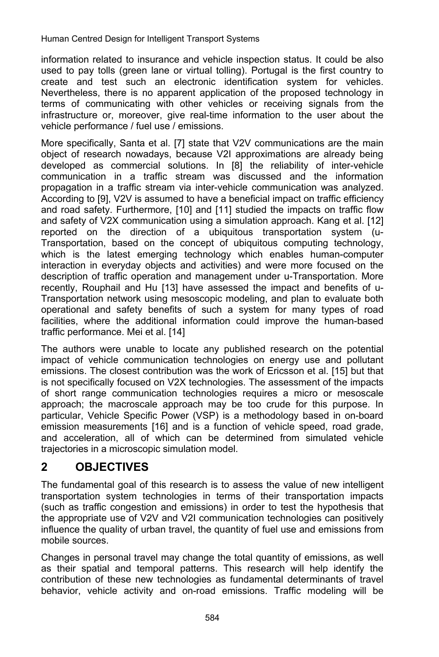information related to insurance and vehicle inspection status. It could be also used to pay tolls (green lane or virtual tolling). Portugal is the first country to create and test such an electronic identification system for vehicles. Nevertheless, there is no apparent application of the proposed technology in terms of communicating with other vehicles or receiving signals from the infrastructure or, moreover, give real-time information to the user about the vehicle performance / fuel use / emissions.

More specifically, Santa et al. [7] state that V2V communications are the main object of research nowadays, because V2I approximations are already being developed as commercial solutions. In [8] the reliability of inter-vehicle communication in a traffic stream was discussed and the information propagation in a traffic stream via inter-vehicle communication was analyzed. According to [9], V2V is assumed to have a beneficial impact on traffic efficiency and road safety. Furthermore, [10] and [11] studied the impacts on traffic flow and safety of V2X communication using a simulation approach. Kang et al. [12] reported on the direction of a ubiquitous transportation system (u-Transportation, based on the concept of ubiquitous computing technology, which is the latest emerging technology which enables human-computer interaction in everyday objects and activities) and were more focused on the description of traffic operation and management under u-Transportation. More recently, Rouphail and Hu [13] have assessed the impact and benefits of u-Transportation network using mesoscopic modeling, and plan to evaluate both operational and safety benefits of such a system for many types of road facilities, where the additional information could improve the human-based traffic performance. Mei et al. [14]

The authors were unable to locate any published research on the potential impact of vehicle communication technologies on energy use and pollutant emissions. The closest contribution was the work of Ericsson et al. [15] but that is not specifically focused on V2X technologies. The assessment of the impacts of short range communication technologies requires a micro or mesoscale approach; the macroscale approach may be too crude for this purpose. In particular, Vehicle Specific Power (VSP) is a methodology based in on-board emission measurements [16] and is a function of vehicle speed, road grade, and acceleration, all of which can be determined from simulated vehicle trajectories in a microscopic simulation model.

# **2 OBJECTIVES**

The fundamental goal of this research is to assess the value of new intelligent transportation system technologies in terms of their transportation impacts (such as traffic congestion and emissions) in order to test the hypothesis that the appropriate use of V2V and V2I communication technologies can positively influence the quality of urban travel, the quantity of fuel use and emissions from mobile sources.

Changes in personal travel may change the total quantity of emissions, as well as their spatial and temporal patterns. This research will help identify the contribution of these new technologies as fundamental determinants of travel behavior, vehicle activity and on-road emissions. Traffic modeling will be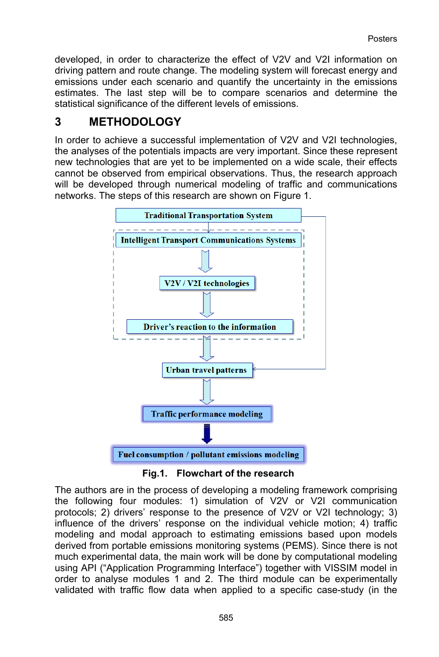developed, in order to characterize the effect of V2V and V2I information on driving pattern and route change. The modeling system will forecast energy and emissions under each scenario and quantify the uncertainty in the emissions estimates. The last step will be to compare scenarios and determine the statistical significance of the different levels of emissions.

#### **3 METHODOLOGY**

In order to achieve a successful implementation of V2V and V2I technologies, the analyses of the potentials impacts are very important. Since these represent new technologies that are yet to be implemented on a wide scale, their effects cannot be observed from empirical observations. Thus, the research approach will be developed through numerical modeling of traffic and communications networks. The steps of this research are shown on Figure 1.



**Fig.1. Flowchart of the research** 

The authors are in the process of developing a modeling framework comprising the following four modules: 1) simulation of V2V or V2I communication protocols; 2) drivers' response to the presence of V2V or V2I technology; 3) influence of the drivers' response on the individual vehicle motion; 4) traffic modeling and modal approach to estimating emissions based upon models derived from portable emissions monitoring systems (PEMS). Since there is not much experimental data, the main work will be done by computational modeling using API ("Application Programming Interface") together with VISSIM model in order to analyse modules 1 and 2. The third module can be experimentally validated with traffic flow data when applied to a specific case-study (in the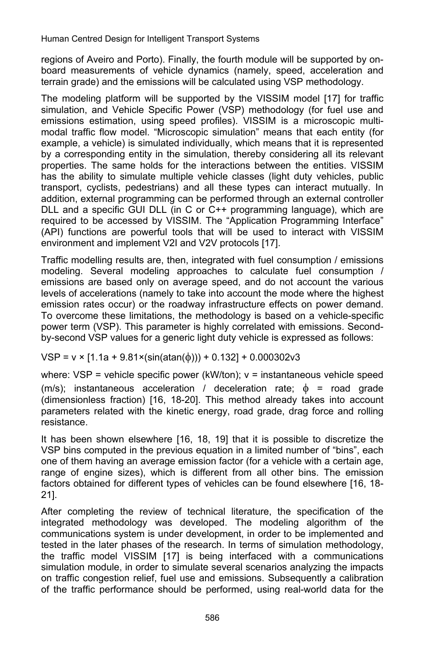Human Centred Design for Intelligent Transport Systems

regions of Aveiro and Porto). Finally, the fourth module will be supported by onboard measurements of vehicle dynamics (namely, speed, acceleration and terrain grade) and the emissions will be calculated using VSP methodology.

The modeling platform will be supported by the VISSIM model [17] for traffic simulation, and Vehicle Specific Power (VSP) methodology (for fuel use and emissions estimation, using speed profiles). VISSIM is a microscopic multimodal traffic flow model. "Microscopic simulation" means that each entity (for example, a vehicle) is simulated individually, which means that it is represented by a corresponding entity in the simulation, thereby considering all its relevant properties. The same holds for the interactions between the entities. VISSIM has the ability to simulate multiple vehicle classes (light duty vehicles, public transport, cyclists, pedestrians) and all these types can interact mutually. In addition, external programming can be performed through an external controller DLL and a specific GUI DLL (in C or C++ programming language), which are required to be accessed by VISSIM. The "Application Programming Interface" (API) functions are powerful tools that will be used to interact with VISSIM environment and implement V2I and V2V protocols [17].

Traffic modelling results are, then, integrated with fuel consumption / emissions modeling. Several modeling approaches to calculate fuel consumption / emissions are based only on average speed, and do not account the various levels of accelerations (namely to take into account the mode where the highest emission rates occur) or the roadway infrastructure effects on power demand. To overcome these limitations, the methodology is based on a vehicle-specific power term (VSP). This parameter is highly correlated with emissions. Secondby-second VSP values for a generic light duty vehicle is expressed as follows:

 $VSP = v \times [1.1a + 9.81 \times (\sin(\text{atan}(\phi)))) + 0.132] + 0.000302v3$ 

where:  $VSP =$  vehicle specific power (kW/ton);  $v =$  instantaneous vehicle speed (m/s); instantaneous acceleration / deceleration rate;  $\phi$  = road grade (dimensionless fraction) [16, 18-20]. This method already takes into account parameters related with the kinetic energy, road grade, drag force and rolling resistance.

It has been shown elsewhere [16, 18, 19] that it is possible to discretize the VSP bins computed in the previous equation in a limited number of "bins", each one of them having an average emission factor (for a vehicle with a certain age, range of engine sizes), which is different from all other bins. The emission factors obtained for different types of vehicles can be found elsewhere [16, 18- 21].

After completing the review of technical literature, the specification of the integrated methodology was developed. The modeling algorithm of the communications system is under development, in order to be implemented and tested in the later phases of the research. In terms of simulation methodology, the traffic model VISSIM [17] is being interfaced with a communications simulation module, in order to simulate several scenarios analyzing the impacts on traffic congestion relief, fuel use and emissions. Subsequently a calibration of the traffic performance should be performed, using real-world data for the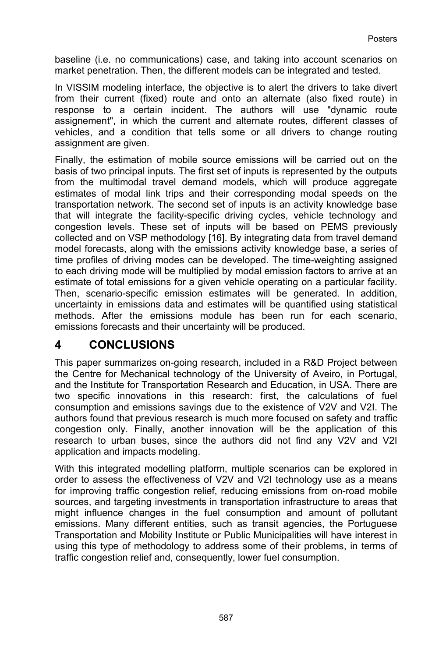baseline (i.e. no communications) case, and taking into account scenarios on market penetration. Then, the different models can be integrated and tested.

In VISSIM modeling interface, the objective is to alert the drivers to take divert from their current (fixed) route and onto an alternate (also fixed route) in response to a certain incident. The authors will use "dynamic route assignement", in which the current and alternate routes, different classes of vehicles, and a condition that tells some or all drivers to change routing assignment are given.

Finally, the estimation of mobile source emissions will be carried out on the basis of two principal inputs. The first set of inputs is represented by the outputs from the multimodal travel demand models, which will produce aggregate estimates of modal link trips and their corresponding modal speeds on the transportation network. The second set of inputs is an activity knowledge base that will integrate the facility-specific driving cycles, vehicle technology and congestion levels. These set of inputs will be based on PEMS previously collected and on VSP methodology [16]. By integrating data from travel demand model forecasts, along with the emissions activity knowledge base, a series of time profiles of driving modes can be developed. The time-weighting assigned to each driving mode will be multiplied by modal emission factors to arrive at an estimate of total emissions for a given vehicle operating on a particular facility. Then, scenario-specific emission estimates will be generated. In addition, uncertainty in emissions data and estimates will be quantified using statistical methods. After the emissions module has been run for each scenario, emissions forecasts and their uncertainty will be produced.

#### **4 CONCLUSIONS**

This paper summarizes on-going research, included in a R&D Project between the Centre for Mechanical technology of the University of Aveiro, in Portugal, and the Institute for Transportation Research and Education, in USA. There are two specific innovations in this research: first, the calculations of fuel consumption and emissions savings due to the existence of V2V and V2I. The authors found that previous research is much more focused on safety and traffic congestion only. Finally, another innovation will be the application of this research to urban buses, since the authors did not find any V2V and V2I application and impacts modeling.

With this integrated modelling platform, multiple scenarios can be explored in order to assess the effectiveness of V2V and V2I technology use as a means for improving traffic congestion relief, reducing emissions from on-road mobile sources, and targeting investments in transportation infrastructure to areas that might influence changes in the fuel consumption and amount of pollutant emissions. Many different entities, such as transit agencies, the Portuguese Transportation and Mobility Institute or Public Municipalities will have interest in using this type of methodology to address some of their problems, in terms of traffic congestion relief and, consequently, lower fuel consumption.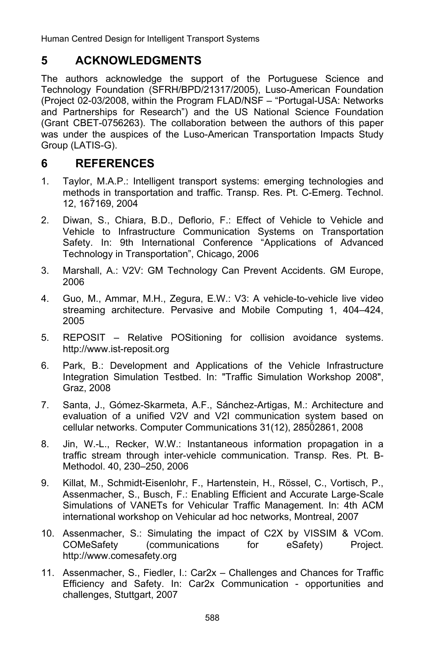Human Centred Design for Intelligent Transport Systems

# **5 ACKNOWLEDGMENTS**

The authors acknowledge the support of the Portuguese Science and Technology Foundation (SFRH/BPD/21317/2005), Luso-American Foundation (Project 02-03/2008, within the Program FLAD/NSF – "Portugal-USA: Networks and Partnerships for Research") and the US National Science Foundation (Grant CBET-0756263). The collaboration between the authors of this paper was under the auspices of the Luso-American Transportation Impacts Study Group (LATIS-G).

## **6 REFERENCES**

- 1. Taylor, M.A.P.: Intelligent transport systems: emerging technologies and methods in transportation and traffic. Transp. Res. Pt. C-Emerg. Technol. 12, 167169, 2004
- 2. Diwan, S., Chiara, B.D., Deflorio, F.: Effect of Vehicle to Vehicle and Vehicle to Infrastructure Communication Systems on Transportation Safety. In: 9th International Conference "Applications of Advanced Technology in Transportation", Chicago, 2006
- 3. Marshall, A.: V2V: GM Technology Can Prevent Accidents. GM Europe, 2006
- 4. Guo, M., Ammar, M.H., Zegura, E.W.: V3: A vehicle-to-vehicle live video streaming architecture. Pervasive and Mobile Computing 1, 404–424, 2005
- 5. REPOSIT Relative POSitioning for collision avoidance systems. http://www.ist-reposit.org
- 6. Park, B.: Development and Applications of the Vehicle Infrastructure Integration Simulation Testbed. In: "Traffic Simulation Workshop 2008", Graz, 2008
- 7. Santa, J., Gómez-Skarmeta, A.F., Sánchez-Artigas, M.: Architecture and evaluation of a unified V2V and V2I communication system based on cellular networks. Computer Communications 31(12), 28502861, 2008
- 8. Jin, W.-L., Recker, W.W.: Instantaneous information propagation in a traffic stream through inter-vehicle communication. Transp. Res. Pt. B-Methodol. 40, 230–250, 2006
- 9. Killat, M., Schmidt-Eisenlohr, F., Hartenstein, H., Rössel, C., Vortisch, P., Assenmacher, S., Busch, F.: Enabling Efficient and Accurate Large-Scale Simulations of VANETs for Vehicular Traffic Management. In: 4th ACM international workshop on Vehicular ad hoc networks, Montreal, 2007
- 10. Assenmacher, S.: Simulating the impact of C2X by VISSIM & VCom. COMeSafety (communications for eSafety) Project. http://www.comesafety.org
- 11. Assenmacher, S., Fiedler, I.: Car2x Challenges and Chances for Traffic Efficiency and Safety. In: Car2x Communication - opportunities and challenges, Stuttgart, 2007